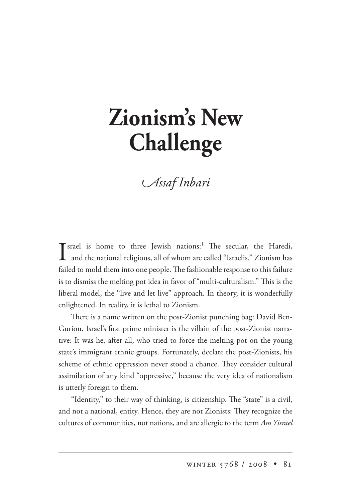## **Zionism's New Challenge**

*ssaf nbari*

 $\int$  srael is home to three Jewish nations:<sup>1</sup> The secular, the Haredi, and the national religious, all of whom are called "Israelis." Zionism has and the national religious, all of whom are called "Israelis." Zionism has failed to mold them into one people. The fashionable response to this failure is to dismiss the melting pot idea in favor of "multi-culturalism." This is the liberal model, the "live and let live" approach. In theory, it is wonderfully enlightened. In reality, it is lethal to Zionism.

There is a name written on the post-Zionist punching bag: David Ben-Gurion. Israel's first prime minister is the villain of the post-Zionist narrative: It was he, after all, who tried to force the melting pot on the young state's immigrant ethnic groups. Fortunately, declare the post-Zionists, his scheme of ethnic oppression never stood a chance. They consider cultural assimilation of any kind "oppressive," because the very idea of nationalism is utterly foreign to them.

"Identity," to their way of thinking, is citizenship. The "state" is a civil, and not a national, entity. Hence, they are not Zionists: They recognize the cultures of communities, not nations, and are allergic to the term *Am Yisrael*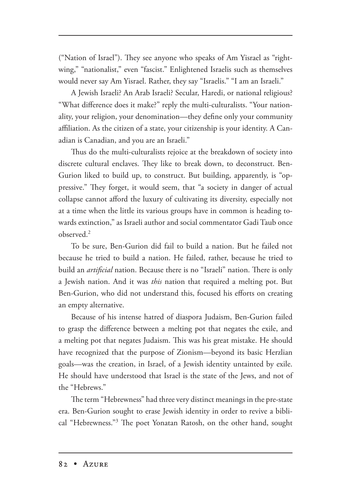("Nation of Israel"). They see anyone who speaks of Am Yisrael as "rightwing," "nationalist," even "fascist." Enlightened Israelis such as themselves would never say Am Yisrael. Rather, they say "Israelis." "I am an Israeli."

A Jewish Israeli? An Arab Israeli? Secular, Haredi, or national religious? "What difference does it make?" reply the multi-culturalists. "Your nationality, your religion, your denomination—they define only your community affiliation. As the citizen of a state, your citizenship is your identity. A Canadian is Canadian, and you are an Israeli."

Thus do the multi-culturalists rejoice at the breakdown of society into discrete cultural enclaves. They like to break down, to deconstruct. Ben-Gurion liked to build up, to construct. But building, apparently, is "oppressive." They forget, it would seem, that "a society in danger of actual collapse cannot afford the luxury of cultivating its diversity, especially not at a time when the little its various groups have in common is heading towards extinction," as Israeli author and social commentator Gadi Taub once observed.2

To be sure, Ben-Gurion did fail to build a nation. But he failed not because he tried to build a nation. He failed, rather, because he tried to build an *artificial* nation. Because there is no "Israeli" nation. There is only a Jewish nation. And it was *this* nation that required a melting pot. But Ben-Gurion, who did not understand this, focused his efforts on creating an empty alternative.

Because of his intense hatred of diaspora Judaism, Ben-Gurion failed to grasp the difference between a melting pot that negates the exile, and a melting pot that negates Judaism. This was his great mistake. He should have recognized that the purpose of Zionism—beyond its basic Herzlian goals—was the creation, in Israel, of a Jewish identity untainted by exile. He should have understood that Israel is the state of the Jews, and not of the "Hebrews."

The term "Hebrewness" had three very distinct meanings in the pre-state era. Ben-Gurion sought to erase Jewish identity in order to revive a biblical "Hebrewness."<sup>3</sup> The poet Yonatan Ratosh, on the other hand, sought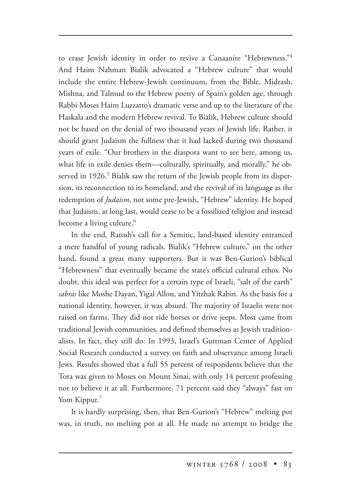to erase Jewish identity in order to revive a Canaanite "Hebrewness."<sup>4</sup> And Haim Nahman Bialik advocated a "Hebrew culture" that would include the entire Hebrew-Jewish continuum, from the Bible, Midrash, Mishna, and Talmud to the Hebrew poetry of Spain's golden age, through Rabbi Moses Haim Luzzatto's dramatic verse and up to the literature of the Haskala and the modern Hebrew revival. To Bialik, Hebrew culture should not be based on the denial of two thousand years of Jewish life. Rather, it should grant Judaism the fullness that it had lacked during two thousand years of exile. "Our brothers in the diaspora want to see here, among us, what life in exile denies them—culturally, spiritually, and morally," he observed in 1926.<sup>5</sup> Bialik saw the return of the Jewish people from its dispersion, its reconnection to its homeland, and the revival of its language as the redemption of *Judaism*, not some pre-Jewish, "Hebrew" identity. He hoped that Judaism, at long last, would cease to be a fossilized religion and instead become a living culture.<sup>6</sup>

In the end, Ratosh's call for a Semitic, land-based identity entranced a mere handful of young radicals. Bialik's "Hebrew culture," on the other hand, found a great many supporters. But it was Ben-Gurion's biblical "Hebrewness" that eventually became the state's official cultural ethos. No doubt, this ideal was perfect for a certain type of Israeli, "salt of the earth" *sabras* like Moshe Dayan, Yigal Allon, and Yitzhak Rabin. As the basis for a national identity, however, it was absurd. The majority of Israelis were not raised on farms. They did not ride horses or drive jeeps. Most came from traditional Jewish communities, and defined themselves as Jewish traditionalists. In fact, they still do: In 1993, Israel's Guttman Center of Applied Social Research conducted a survey on faith and observance among Israeli Jews. Results showed that a full 55 percent of respondents believe that the Tora was given to Moses on Mount Sinai, with only 14 percent professing not to believe it at all. Furthermore, 71 percent said they "always" fast on Yom Kippur.<sup>7</sup>

It is hardly surprising, then, that Ben-Gurion's "Hebrew" melting pot was, in truth, no melting pot at all. He made no attempt to bridge the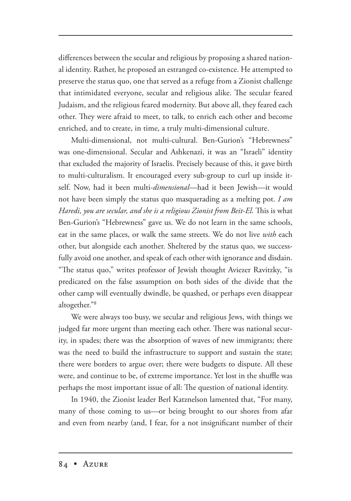differences between the secular and religious by proposing a shared national identity. Rather, he proposed an estranged co-existence. He attempted to preserve the status quo, one that served as a refuge from a Zionist challenge that intimidated everyone, secular and religious alike. The secular feared Judaism, and the religious feared modernity. But above all, they feared each other. They were afraid to meet, to talk, to enrich each other and become enriched, and to create, in time, a truly multi-dimensional culture.

Multi-dimensional, not multi-cultural. Ben-Gurion's "Hebrewness" was one-dimensional. Secular and Ashkenazi, it was an "Israeli" identity that excluded the majority of Israelis. Precisely because of this, it gave birth to multi-culturalism. It encouraged every sub-group to curl up inside itself. Now, had it been multi-*dimensional*—had it been Jewish—it would not have been simply the status quo masquerading as a melting pot. *I am*  Haredi, you are secular, and she is a religious Zionist from Beit-El. This is what Ben-Gurion's "Hebrewness" gave us. We do not learn in the same schools, eat in the same places, or walk the same streets. We do not live *with* each other, but alongside each another. Sheltered by the status quo, we successfully avoid one another, and speak of each other with ignorance and disdain. "The status quo," writes professor of Jewish thought Aviezer Ravitzky, "is predicated on the false assumption on both sides of the divide that the other camp will eventually dwindle, be quashed, or perhaps even disappear altogether."8

We were always too busy, we secular and religious Jews, with things we judged far more urgent than meeting each other. There was national security, in spades; there was the absorption of waves of new immigrants; there was the need to build the infrastructure to support and sustain the state; there were borders to argue over; there were budgets to dispute. All these were, and continue to be, of extreme importance. Yet lost in the shuffle was perhaps the most important issue of all: The question of national identity.

In 1940, the Zionist leader Berl Katznelson lamented that, "For many, many of those coming to us—or being brought to our shores from afar and even from nearby (and, I fear, for a not insignificant number of their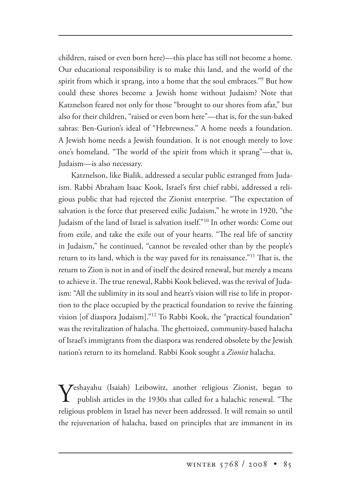children, raised or even born here)—this place has still not become a home. Our educational responsibility is to make this land, and the world of the spirit from which it sprang, into a home that the soul embraces."9 But how could these shores become a Jewish home without Judaism? Note that Katznelson feared not only for those "brought to our shores from afar," but also for their children, "raised or even born here"—that is, for the sun-baked sabras: Ben-Gurion's ideal of "Hebrewness." A home needs a foundation. A Jewish home needs a Jewish foundation. It is not enough merely to love one's homeland. "The world of the spirit from which it sprang"—that is, Judaism—is also necessary.

Katznelson, like Bialik, addressed a secular public estranged from Judaism. Rabbi Abraham Isaac Kook, Israel's first chief rabbi, addressed a religious public that had rejected the Zionist enterprise. "The expectation of salvation is the force that preserved exilic Judaism," he wrote in 1920, "the Judaism of the land of Israel is salvation itself."10 In other words: Come out from exile, and take the exile out of your hearts. "The real life of sanctity in Judaism," he continued, "cannot be revealed other than by the people's return to its land, which is the way paved for its renaissance."<sup>11</sup> That is, the return to Zion is not in and of itself the desired renewal, but merely a means to achieve it. The true renewal, Rabbi Kook believed, was the revival of Judaism: "All the sublimity in its soul and heart's vision will rise to life in proportion to the place occupied by the practical foundation to revive the fainting vision [of diaspora Judaism]."12 To Rabbi Kook, the "practical foundation" was the revitalization of halacha. The ghettoized, community-based halacha of Israel's immigrants from the diaspora was rendered obsolete by the Jewish nation's return to its homeland. Rabbi Kook sought a *Zionist* halacha.

Yeshayahu (Isaiah) Leibowitz, another religious Zionist, began to publish articles in the 1930s that called for a halachic renewal. "The religious problem in Israel has never been addressed. It will remain so until the rejuvenation of halacha, based on principles that are immanent in its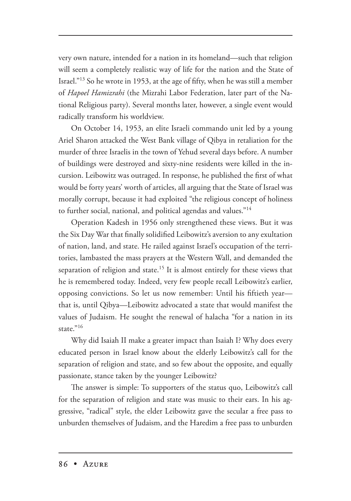very own nature, intended for a nation in its homeland—such that religion will seem a completely realistic way of life for the nation and the State of Israel."13 So he wrote in 1953, at the age of fifty, when he was still a member of *Hapoel Hamizrahi* (the Mizrahi Labor Federation, later part of the National Religious party). Several months later, however, a single event would radically transform his worldview.

On October 14, 1953, an elite Israeli commando unit led by a young Ariel Sharon attacked the West Bank village of Qibya in retaliation for the murder of three Israelis in the town of Yehud several days before. A number of buildings were destroyed and sixty-nine residents were killed in the incursion. Leibowitz was outraged. In response, he published the first of what would be forty years' worth of articles, all arguing that the State of Israel was morally corrupt, because it had exploited "the religious concept of holiness to further social, national, and political agendas and values."14

Operation Kadesh in 1956 only strengthened these views. But it was the Six Day War that finally solidified Leibowitz's aversion to any exultation of nation, land, and state. He railed against Israel's occupation of the territories, lambasted the mass prayers at the Western Wall, and demanded the separation of religion and state.<sup>15</sup> It is almost entirely for these views that he is remembered today. Indeed, very few people recall Leibowitz's earlier, opposing convictions. So let us now remember: Until his fiftieth year that is, until Qibya—Leibowitz advocated a state that would manifest the values of Judaism. He sought the renewal of halacha "for a nation in its state."16

Why did Isaiah II make a greater impact than Isaiah I? Why does every educated person in Israel know about the elderly Leibowitz's call for the separation of religion and state, and so few about the opposite, and equally passionate, stance taken by the younger Leibowitz?

The answer is simple: To supporters of the status quo, Leibowitz's call for the separation of religion and state was music to their ears. In his aggressive, "radical" style, the elder Leibowitz gave the secular a free pass to unburden themselves of Judaism, and the Haredim a free pass to unburden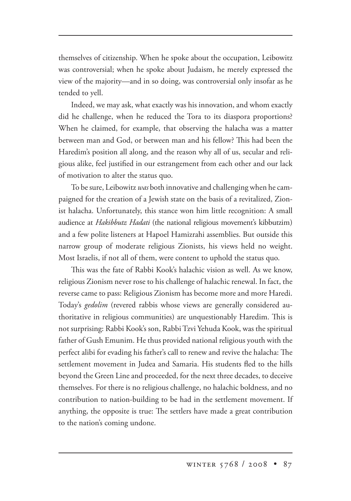themselves of citizenship. When he spoke about the occupation, Leibowitz was controversial; when he spoke about Judaism, he merely expressed the view of the majority—and in so doing, was controversial only insofar as he tended to yell.

Indeed, we may ask, what exactly was his innovation, and whom exactly did he challenge, when he reduced the Tora to its diaspora proportions? When he claimed, for example, that observing the halacha was a matter between man and God, or between man and his fellow? This had been the Haredim's position all along, and the reason why all of us, secular and religious alike, feel justified in our estrangement from each other and our lack of motivation to alter the status quo.

To be sure, Leibowitz *was* both innovative and challenging when he campaigned for the creation of a Jewish state on the basis of a revitalized, Zionist halacha. Unfortunately, this stance won him little recognition: A small audience at *Hakibbutz Hadati* (the national religious movement's kibbutzim) and a few polite listeners at Hapoel Hamizrahi assemblies. But outside this narrow group of moderate religious Zionists, his views held no weight. Most Israelis, if not all of them, were content to uphold the status quo.

This was the fate of Rabbi Kook's halachic vision as well. As we know, religious Zionism never rose to his challenge of halachic renewal. In fact, the reverse came to pass: Religious Zionism has become more and more Haredi. Today's *gedolim* (revered rabbis whose views are generally considered authoritative in religious communities) are unquestionably Haredim. This is not surprising: Rabbi Kook's son, Rabbi Tzvi Yehuda Kook, was the spiritual father of Gush Emunim. He thus provided national religious youth with the perfect alibi for evading his father's call to renew and revive the halacha: The settlement movement in Judea and Samaria. His students fled to the hills beyond the Green Line and proceeded, for the next three decades, to deceive themselves. For there is no religious challenge, no halachic boldness, and no contribution to nation-building to be had in the settlement movement. If anything, the opposite is true: The settlers have made a great contribution to the nation's coming undone.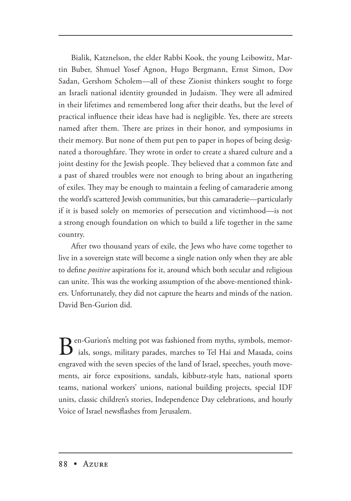Bialik, Katznelson, the elder Rabbi Kook, the young Leibowitz, Martin Buber, Shmuel Yosef Agnon, Hugo Bergmann, Ernst Simon, Dov Sadan, Gershom Scholem—all of these Zionist thinkers sought to forge an Israeli national identity grounded in Judaism. They were all admired in their lifetimes and remembered long after their deaths, but the level of practical influence their ideas have had is negligible. Yes, there are streets named after them. There are prizes in their honor, and symposiums in their memory. But none of them put pen to paper in hopes of being designated a thoroughfare. They wrote in order to create a shared culture and a joint destiny for the Jewish people. They believed that a common fate and a past of shared troubles were not enough to bring about an ingathering of exiles. They may be enough to maintain a feeling of camaraderie among the world's scattered Jewish communities, but this camaraderie—particularly if it is based solely on memories of persecution and victimhood—is not a strong enough foundation on which to build a life together in the same country.

After two thousand years of exile, the Jews who have come together to live in a sovereign state will become a single nation only when they are able to define *positive* aspirations for it, around which both secular and religious can unite. This was the working assumption of the above-mentioned thinkers. Unfortunately, they did not capture the hearts and minds of the nation. David Ben-Gurion did.

Ben-Gurion's melting pot was fashioned from myths, symbols, memor-<br>ials, songs, military parades, marches to Tel Hai and Masada, coins engraved with the seven species of the land of Israel, speeches, youth movements, air force expositions, sandals, kibbutz-style hats, national sports teams, national workers' unions, national building projects, special IDF units, classic children's stories, Independence Day celebrations, and hourly Voice of Israel newsflashes from Jerusalem.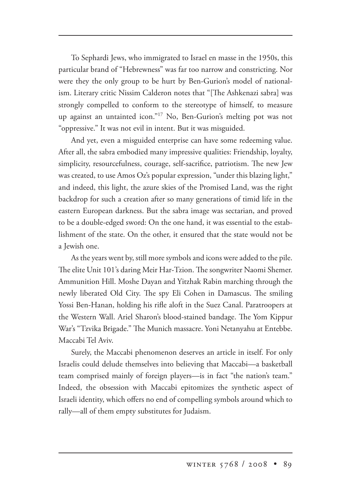To Sephardi Jews, who immigrated to Israel en masse in the 1950s, this particular brand of "Hebrewness" was far too narrow and constricting. Nor were they the only group to be hurt by Ben-Gurion's model of nationalism. Literary critic Nissim Calderon notes that "[The Ashkenazi sabra] was strongly compelled to conform to the stereotype of himself, to measure up against an untainted icon."17 No, Ben-Gurion's melting pot was not "oppressive." It was not evil in intent. But it was misguided.

And yet, even a misguided enterprise can have some redeeming value. After all, the sabra embodied many impressive qualities: Friendship, loyalty, simplicity, resourcefulness, courage, self-sacrifice, patriotism. The new Jew was created, to use Amos Oz's popular expression, "under this blazing light," and indeed, this light, the azure skies of the Promised Land, was the right backdrop for such a creation after so many generations of timid life in the eastern European darkness. But the sabra image was sectarian, and proved to be a double-edged sword: On the one hand, it was essential to the establishment of the state. On the other, it ensured that the state would not be a Jewish one.

As the years went by, still more symbols and icons were added to the pile. The elite Unit 101's daring Meir Har-Tzion. The songwriter Naomi Shemer. Ammunition Hill. Moshe Dayan and Yitzhak Rabin marching through the newly liberated Old City. The spy Eli Cohen in Damascus. The smiling Yossi Ben-Hanan, holding his rifle aloft in the Suez Canal. Paratroopers at the Western Wall. Ariel Sharon's blood-stained bandage. The Yom Kippur War's "Tzvika Brigade." The Munich massacre. Yoni Netanyahu at Entebbe. Maccabi Tel Aviv.

Surely, the Maccabi phenomenon deserves an article in itself. For only Israelis could delude themselves into believing that Maccabi—a basketball team comprised mainly of foreign players—is in fact "the nation's team." Indeed, the obsession with Maccabi epitomizes the synthetic aspect of Israeli identity, which offers no end of compelling symbols around which to rally—all of them empty substitutes for Judaism.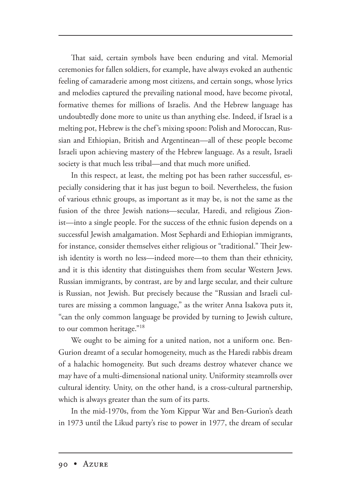That said, certain symbols have been enduring and vital. Memorial ceremonies for fallen soldiers, for example, have always evoked an authentic feeling of camaraderie among most citizens, and certain songs, whose lyrics and melodies captured the prevailing national mood, have become pivotal, formative themes for millions of Israelis. And the Hebrew language has undoubtedly done more to unite us than anything else. Indeed, if Israel is a melting pot, Hebrew is the chef's mixing spoon: Polish and Moroccan, Russian and Ethiopian, British and Argentinean—all of these people become Israeli upon achieving mastery of the Hebrew language. As a result, Israeli society is that much less tribal—and that much more unified.

In this respect, at least, the melting pot has been rather successful, especially considering that it has just begun to boil. Nevertheless, the fusion of various ethnic groups, as important as it may be, is not the same as the fusion of the three Jewish nations—secular, Haredi, and religious Zionist—into a single people. For the success of the ethnic fusion depends on a successful Jewish amalgamation. Most Sephardi and Ethiopian immigrants, for instance, consider themselves either religious or "traditional." Their Jewish identity is worth no less—indeed more—to them than their ethnicity, and it is this identity that distinguishes them from secular Western Jews. Russian immigrants, by contrast, are by and large secular, and their culture is Russian, not Jewish. But precisely because the "Russian and Israeli cultures are missing a common language," as the writer Anna Isakova puts it, "can the only common language be provided by turning to Jewish culture, to our common heritage."<sup>18</sup>

We ought to be aiming for a united nation, not a uniform one. Ben-Gurion dreamt of a secular homogeneity, much as the Haredi rabbis dream of a halachic homogeneity. But such dreams destroy whatever chance we may have of a multi-dimensional national unity. Uniformity steamrolls over cultural identity. Unity, on the other hand, is a cross-cultural partnership, which is always greater than the sum of its parts.

In the mid-1970s, from the Yom Kippur War and Ben-Gurion's death in 1973 until the Likud party's rise to power in 1977, the dream of secular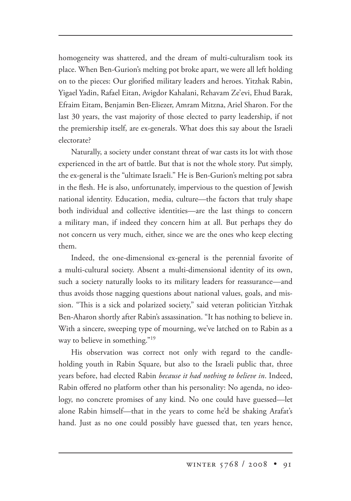homogeneity was shattered, and the dream of multi-culturalism took its place. When Ben-Gurion's melting pot broke apart, we were all left holding on to the pieces: Our glorified military leaders and heroes. Yitzhak Rabin, Yigael Yadin, Rafael Eitan, Avigdor Kahalani, Rehavam Ze'evi, Ehud Barak, Efraim Eitam, Benjamin Ben-Eliezer, Amram Mitzna, Ariel Sharon. For the last 30 years, the vast majority of those elected to party leadership, if not the premiership itself, are ex-generals. What does this say about the Israeli electorate?

Naturally, a society under constant threat of war casts its lot with those experienced in the art of battle. But that is not the whole story. Put simply, the ex-general is the "ultimate Israeli." He is Ben-Gurion's melting pot sabra in the flesh. He is also, unfortunately, impervious to the question of Jewish national identity. Education, media, culture—the factors that truly shape both individual and collective identities—are the last things to concern a military man, if indeed they concern him at all. But perhaps they do not concern us very much, either, since we are the ones who keep electing them.

Indeed, the one-dimensional ex-general is the perennial favorite of a multi-cultural society. Absent a multi-dimensional identity of its own, such a society naturally looks to its military leaders for reassurance—and thus avoids those nagging questions about national values, goals, and mission. "This is a sick and polarized society," said veteran politician Yitzhak Ben-Aharon shortly after Rabin's assassination. "It has nothing to believe in. With a sincere, sweeping type of mourning, we've latched on to Rabin as a way to believe in something."<sup>19</sup>

His observation was correct not only with regard to the candleholding youth in Rabin Square, but also to the Israeli public that, three years before, had elected Rabin *because it had nothing to believe in*. Indeed, Rabin offered no platform other than his personality: No agenda, no ideology, no concrete promises of any kind. No one could have guessed—let alone Rabin himself—that in the years to come he'd be shaking Arafat's hand. Just as no one could possibly have guessed that, ten years hence,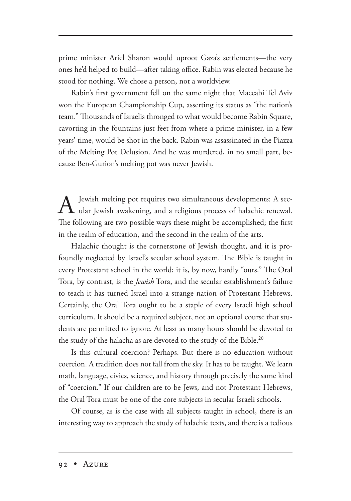prime minister Ariel Sharon would uproot Gaza's settlements—the very ones he'd helped to build—after taking office. Rabin was elected because he stood for nothing. We chose a person, not a worldview.

Rabin's first government fell on the same night that Maccabi Tel Aviv won the European Championship Cup, asserting its status as "the nation's team." Thousands of Israelis thronged to what would become Rabin Square, cavorting in the fountains just feet from where a prime minister, in a few years' time, would be shot in the back. Rabin was assassinated in the Piazza of the Melting Pot Delusion. And he was murdered, in no small part, because Ben-Gurion's melting pot was never Jewish.

A Jewish melting pot requires two simultaneous developments: A sec-<br>ular Jewish awakening, and a religious process of halachic renewal. The following are two possible ways these might be accomplished; the first in the realm of education, and the second in the realm of the arts.

Halachic thought is the cornerstone of Jewish thought, and it is profoundly neglected by Israel's secular school system. The Bible is taught in every Protestant school in the world; it is, by now, hardly "ours." The Oral Tora, by contrast, is the *Jewish* Tora, and the secular establishment's failure to teach it has turned Israel into a strange nation of Protestant Hebrews. Certainly, the Oral Tora ought to be a staple of every Israeli high school curriculum. It should be a required subject, not an optional course that students are permitted to ignore. At least as many hours should be devoted to the study of the halacha as are devoted to the study of the Bible.<sup>20</sup>

Is this cultural coercion? Perhaps. But there is no education without coercion. A tradition does not fall from the sky. It has to be taught. We learn math, language, civics, science, and history through precisely the same kind of "coercion." If our children are to be Jews, and not Protestant Hebrews, the Oral Tora must be one of the core subjects in secular Israeli schools.

Of course, as is the case with all subjects taught in school, there is an interesting way to approach the study of halachic texts, and there is a tedious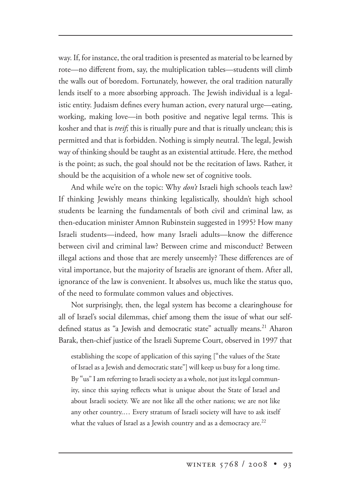way. If, for instance, the oral tradition is presented as material to be learned by rote—no different from, say, the multiplication tables—students will climb the walls out of boredom. Fortunately, however, the oral tradition naturally lends itself to a more absorbing approach. The Jewish individual is a legalistic entity. Judaism defines every human action, every natural urge—eating, working, making love—in both positive and negative legal terms. This is kosher and that is *treif*; this is ritually pure and that is ritually unclean; this is permitted and that is forbidden. Nothing is simply neutral. The legal, Jewish way of thinking should be taught as an existential attitude. Here, the method is the point; as such, the goal should not be the recitation of laws. Rather, it should be the acquisition of a whole new set of cognitive tools.

And while we're on the topic: Why *don't* Israeli high schools teach law? If thinking Jewishly means thinking legalistically, shouldn't high school students be learning the fundamentals of both civil and criminal law, as then-education minister Amnon Rubinstein suggested in 1995? How many Israeli students—indeed, how many Israeli adults—know the difference between civil and criminal law? Between crime and misconduct? Between illegal actions and those that are merely unseemly? These differences are of vital importance, but the majority of Israelis are ignorant of them. After all, ignorance of the law is convenient. It absolves us, much like the status quo, of the need to formulate common values and objectives.

Not surprisingly, then, the legal system has become a clearinghouse for all of Israel's social dilemmas, chief among them the issue of what our selfdefined status as "a Jewish and democratic state" actually means.<sup>21</sup> Aharon Barak, then-chief justice of the Israeli Supreme Court, observed in 1997 that

establishing the scope of application of this saying ["the values of the State of Israel as a Jewish and democratic state"] will keep us busy for a long time. By "us" I am referring to Israeli society as a whole, not just its legal community, since this saying reflects what is unique about the State of Israel and about Israeli society. We are not like all the other nations; we are not like any other country.… Every stratum of Israeli society will have to ask itself what the values of Israel as a Jewish country and as a democracy are.<sup>22</sup>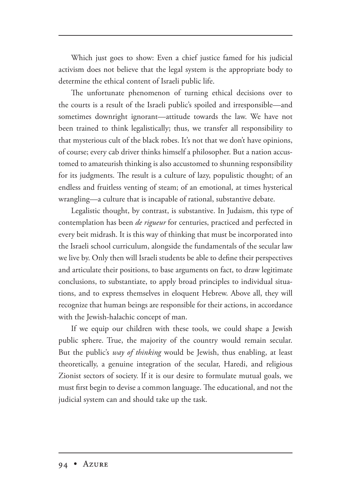Which just goes to show: Even a chief justice famed for his judicial activism does not believe that the legal system is the appropriate body to determine the ethical content of Israeli public life.

The unfortunate phenomenon of turning ethical decisions over to the courts is a result of the Israeli public's spoiled and irresponsible—and sometimes downright ignorant—attitude towards the law. We have not been trained to think legalistically; thus, we transfer all responsibility to that mysterious cult of the black robes. It's not that we don't have opinions, of course; every cab driver thinks himself a philosopher. But a nation accustomed to amateurish thinking is also accustomed to shunning responsibility for its judgments. The result is a culture of lazy, populistic thought; of an endless and fruitless venting of steam; of an emotional, at times hysterical wrangling—a culture that is incapable of rational, substantive debate.

Legalistic thought, by contrast, is substantive. In Judaism, this type of contemplation has been *de rigueur* for centuries, practiced and perfected in every beit midrash. It is this way of thinking that must be incorporated into the Israeli school curriculum, alongside the fundamentals of the secular law we live by. Only then will Israeli students be able to define their perspectives and articulate their positions, to base arguments on fact, to draw legitimate conclusions, to substantiate, to apply broad principles to individual situations, and to express themselves in eloquent Hebrew. Above all, they will recognize that human beings are responsible for their actions, in accordance with the Jewish-halachic concept of man.

If we equip our children with these tools, we could shape a Jewish public sphere. True, the majority of the country would remain secular. But the public's *way of thinking* would be Jewish, thus enabling, at least theoretically, a genuine integration of the secular, Haredi, and religious Zionist sectors of society. If it is our desire to formulate mutual goals, we must first begin to devise a common language. The educational, and not the judicial system can and should take up the task.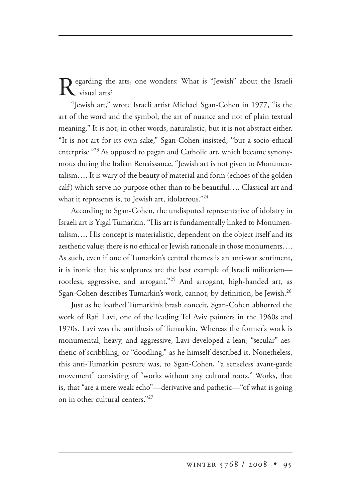egarding the arts, one wonders: What is "Jewish" about the Israeli visual arts?

"Jewish art," wrote Israeli artist Michael Sgan-Cohen in 1977, "is the art of the word and the symbol, the art of nuance and not of plain textual meaning." It is not, in other words, naturalistic, but it is not abstract either. "It is not art for its own sake," Sgan-Cohen insisted, "but a socio-ethical enterprise."23 As opposed to pagan and Catholic art, which became synonymous during the Italian Renaissance, "Jewish art is not given to Monumentalism…. It is wary of the beauty of material and form (echoes of the golden calf) which serve no purpose other than to be beautiful…. Classical art and what it represents is, to Jewish art, idolatrous."<sup>24</sup>

According to Sgan-Cohen, the undisputed representative of idolatry in Israeli art is Yigal Tumarkin. "His art is fundamentally linked to Monumentalism…. His concept is materialistic, dependent on the object itself and its aesthetic value; there is no ethical or Jewish rationale in those monuments…. As such, even if one of Tumarkin's central themes is an anti-war sentiment, it is ironic that his sculptures are the best example of Israeli militarism rootless, aggressive, and arrogant."<sup>25</sup> And arrogant, high-handed art, as Sgan-Cohen describes Tumarkin's work, cannot, by definition, be Jewish.26

Just as he loathed Tumarkin's brash conceit, Sgan-Cohen abhorred the work of Rafi Lavi, one of the leading Tel Aviv painters in the 1960s and 1970s. Lavi was the antithesis of Tumarkin. Whereas the former's work is monumental, heavy, and aggressive, Lavi developed a lean, "secular" aesthetic of scribbling, or "doodling," as he himself described it. Nonetheless, this anti-Tumarkin posture was, to Sgan-Cohen, "a senseless avant-garde movement" consisting of "works without any cultural roots." Works, that is, that "are a mere weak echo"—derivative and pathetic—"of what is going on in other cultural centers."27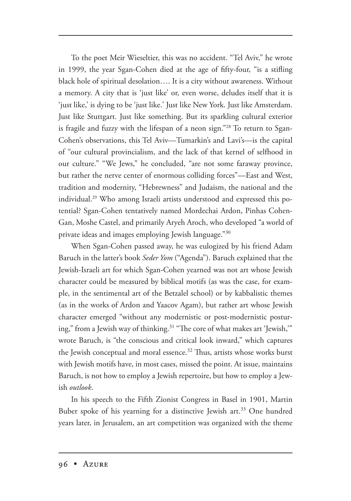To the poet Meir Wieseltier, this was no accident. "Tel Aviv," he wrote in 1999, the year Sgan-Cohen died at the age of fifty-four, "is a stifling black hole of spiritual desolation…. It is a city without awareness. Without a memory. A city that is 'just like' or, even worse, deludes itself that it is 'just like,' is dying to be 'just like.' Just like New York. Just like Amsterdam. Just like Stuttgart. Just like something. But its sparkling cultural exterior is fragile and fuzzy with the lifespan of a neon sign."28 To return to Sgan-Cohen's observations, this Tel Aviv—Tumarkin's and Lavi's—is the capital of "our cultural provincialism, and the lack of that kernel of selfhood in our culture." "We Jews," he concluded, "are not some faraway province, but rather the nerve center of enormous colliding forces"—East and West, tradition and modernity, "Hebrewness" and Judaism, the national and the individual.29 Who among Israeli artists understood and expressed this potential? Sgan-Cohen tentatively named Mordechai Ardon, Pinhas Cohen-Gan, Moshe Castel, and primarily Aryeh Aroch, who developed "a world of private ideas and images employing Jewish language."30

When Sgan-Cohen passed away, he was eulogized by his friend Adam Baruch in the latter's book *Seder Yom* ("Agenda"). Baruch explained that the Jewish-Israeli art for which Sgan-Cohen yearned was not art whose Jewish character could be measured by biblical motifs (as was the case, for example, in the sentimental art of the Betzalel school) or by kabbalistic themes (as in the works of Ardon and Yaacov Agam), but rather art whose Jewish character emerged "without any modernistic or post-modernistic posturing," from a Jewish way of thinking.<sup>31</sup> "The core of what makes art 'Jewish,'" wrote Baruch, is "the conscious and critical look inward," which captures the Jewish conceptual and moral essence. $^{32}$  Thus, artists whose works burst with Jewish motifs have, in most cases, missed the point. At issue, maintains Baruch, is not how to employ a Jewish repertoire, but how to employ a Jewish *outlook*.

In his speech to the Fifth Zionist Congress in Basel in 1901, Martin Buber spoke of his yearning for a distinctive Jewish art.<sup>33</sup> One hundred years later, in Jerusalem, an art competition was organized with the theme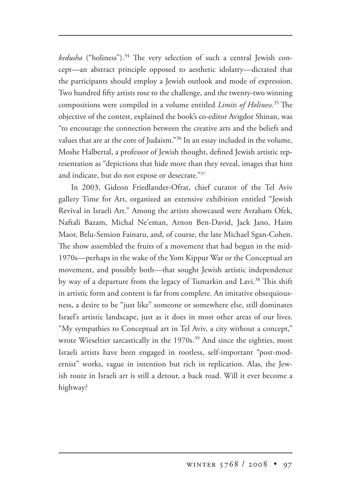*kedusha* ("holiness").<sup>34</sup> The very selection of such a central Jewish concept—an abstract principle opposed to aesthetic idolatry—dictated that the participants should employ a Jewish outlook and mode of expression. Two hundred fifty artists rose to the challenge, and the twenty-two winning compositions were compiled in a volume entitled *Limits of Holiness*.<sup>35</sup> The objective of the contest, explained the book's co-editor Avigdor Shinan, was "to encourage the connection between the creative arts and the beliefs and values that are at the core of Judaism."36 In an essay included in the volume, Moshe Halbertal, a professor of Jewish thought, defined Jewish artistic representation as "depictions that hide more than they reveal, images that hint and indicate, but do not expose or desecrate."37

In 2003, Gideon Friedlander-Ofrat, chief curator of the Tel Aviv gallery Time for Art, organized an extensive exhibition entitled "Jewish Revival in Israeli Art." Among the artists showcased were Avraham Ofek, Naftali Bazam, Michal Ne'eman, Arnon Ben-David, Jack Jano, Haim Maor, Belu-Semion Fainaru, and, of course, the late Michael Sgan-Cohen. The show assembled the fruits of a movement that had begun in the mid-1970s—perhaps in the wake of the Yom Kippur War or the Conceptual art movement, and possibly both—that sought Jewish artistic independence by way of a departure from the legacy of Tumarkin and Lavi.<sup>38</sup> This shift in artistic form and content is far from complete. An imitative obsequiousness, a desire to be "just like" someone or somewhere else, still dominates Israel's artistic landscape, just as it does in most other areas of our lives. "My sympathies to Conceptual art in Tel Aviv, a city without a concept," wrote Wieseltier sarcastically in the 1970s.<sup>39</sup> And since the eighties, most Israeli artists have been engaged in rootless, self-important "post-modernist" works, vague in intention but rich in replication. Alas, the Jewish route in Israeli art is still a detour, a back road. Will it ever become a highway?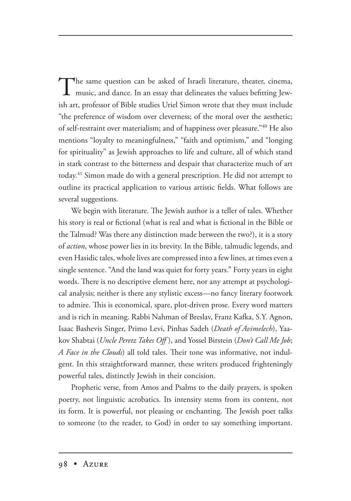The same question can be asked of Israeli literature, theater, cinema, music, and dance. In an essay that delineates the values befitting Jewish art, professor of Bible studies Uriel Simon wrote that they must include "the preference of wisdom over cleverness; of the moral over the aesthetic; of self-restraint over materialism; and of happiness over pleasure."<sup>40</sup> He also mentions "loyalty to meaningfulness," "faith and optimism," and "longing for spirituality" as Jewish approaches to life and culture, all of which stand in stark contrast to the bitterness and despair that characterize much of art today.41 Simon made do with a general prescription. He did not attempt to outline its practical application to various artistic fields. What follows are several suggestions.

We begin with literature. The Jewish author is a teller of tales. Whether his story is real or fictional (what is real and what is fictional in the Bible or the Talmud? Was there any distinction made between the two?), it is a story of *action*, whose power lies in its brevity. In the Bible, talmudic legends, and even Hasidic tales, whole lives are compressed into a few lines, at times even a single sentence. "And the land was quiet for forty years." Forty years in eight words. There is no descriptive element here, nor any attempt at psychological analysis; neither is there any stylistic excess—no fancy literary footwork to admire. This is economical, spare, plot-driven prose. Every word matters and is rich in meaning. Rabbi Nahman of Breslav, Franz Kafka, S.Y. Agnon, Isaac Bashevis Singer, Primo Levi, Pinhas Sadeh (*Death of Avimelech*), Yaakov Shabtai (*Uncle Peretz Takes Off* ), and Yossel Birstein (*Don't Call Me Job*; *A Face in the Clouds*) all told tales. Their tone was informative, not indulgent. In this straightforward manner, these writers produced frighteningly powerful tales, distinctly Jewish in their concision.

Prophetic verse, from Amos and Psalms to the daily prayers, is spoken poetry, not linguistic acrobatics. Its intensity stems from its content, not its form. It is powerful, not pleasing or enchanting. The Jewish poet talks to someone (to the reader, to God) in order to say something important.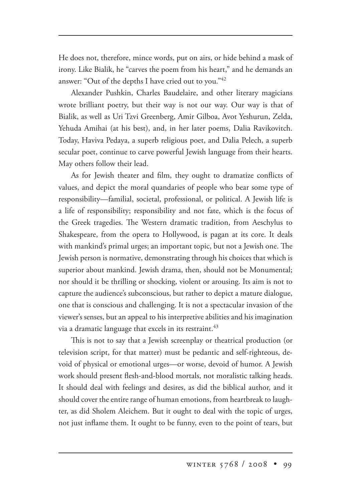He does not, therefore, mince words, put on airs, or hide behind a mask of irony. Like Bialik, he "carves the poem from his heart," and he demands an answer: "Out of the depths I have cried out to you."42

Alexander Pushkin, Charles Baudelaire, and other literary magicians wrote brilliant poetry, but their way is not our way. Our way is that of Bialik, as well as Uri Tzvi Greenberg, Amir Gilboa, Avot Yeshurun, Zelda, Yehuda Amihai (at his best), and, in her later poems, Dalia Ravikovitch. Today, Haviva Pedaya, a superb religious poet, and Dalia Pelech, a superb secular poet, continue to carve powerful Jewish language from their hearts. May others follow their lead.

As for Jewish theater and film, they ought to dramatize conflicts of values, and depict the moral quandaries of people who bear some type of responsibility—familial, societal, professional, or political. A Jewish life is a life of responsibility; responsibility and not fate, which is the focus of the Greek tragedies. The Western dramatic tradition, from Aeschylus to Shakespeare, from the opera to Hollywood, is pagan at its core. It deals with mankind's primal urges; an important topic, but not a Jewish one. The Jewish person is normative, demonstrating through his choices that which is superior about mankind. Jewish drama, then, should not be Monumental; nor should it be thrilling or shocking, violent or arousing. Its aim is not to capture the audience's subconscious, but rather to depict a mature dialogue, one that is conscious and challenging. It is not a spectacular invasion of the viewer's senses, but an appeal to his interpretive abilities and his imagination via a dramatic language that excels in its restraint.  $43$ 

This is not to say that a Jewish screenplay or theatrical production (or television script, for that matter) must be pedantic and self-righteous, devoid of physical or emotional urges—or worse, devoid of humor. A Jewish work should present flesh-and-blood mortals, not moralistic talking heads. It should deal with feelings and desires, as did the biblical author, and it should cover the entire range of human emotions, from heartbreak to laughter, as did Sholem Aleichem. But it ought to deal with the topic of urges, not just inflame them. It ought to be funny, even to the point of tears, but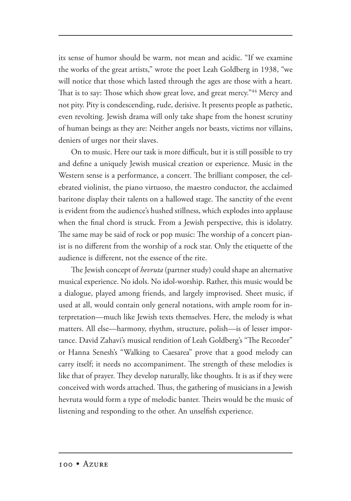its sense of humor should be warm, not mean and acidic. "If we examine the works of the great artists," wrote the poet Leah Goldberg in 1938, "we will notice that those which lasted through the ages are those with a heart. That is to say: Those which show great love, and great mercy."<sup>44</sup> Mercy and not pity. Pity is condescending, rude, derisive. It presents people as pathetic, even revolting. Jewish drama will only take shape from the honest scrutiny of human beings as they are: Neither angels nor beasts, victims nor villains, deniers of urges nor their slaves.

On to music. Here our task is more difficult, but it is still possible to try and define a uniquely Jewish musical creation or experience. Music in the Western sense is a performance, a concert. The brilliant composer, the celebrated violinist, the piano virtuoso, the maestro conductor, the acclaimed baritone display their talents on a hallowed stage. The sanctity of the event is evident from the audience's hushed stillness, which explodes into applause when the final chord is struck. From a Jewish perspective, this is idolatry. The same may be said of rock or pop music: The worship of a concert pianist is no different from the worship of a rock star. Only the etiquette of the audience is different, not the essence of the rite.

The Jewish concept of *hevruta* (partner study) could shape an alternative musical experience. No idols. No idol-worship. Rather, this music would be a dialogue, played among friends, and largely improvised. Sheet music, if used at all, would contain only general notations, with ample room for interpretation—much like Jewish texts themselves. Here, the melody is what matters. All else—harmony, rhythm, structure, polish—is of lesser importance. David Zahavi's musical rendition of Leah Goldberg's "The Recorder" or Hanna Senesh's "Walking to Caesarea" prove that a good melody can carry itself; it needs no accompaniment. The strength of these melodies is like that of prayer. They develop naturally, like thoughts. It is as if they were conceived with words attached. Thus, the gathering of musicians in a Jewish hevruta would form a type of melodic banter. Theirs would be the music of listening and responding to the other. An unselfish experience.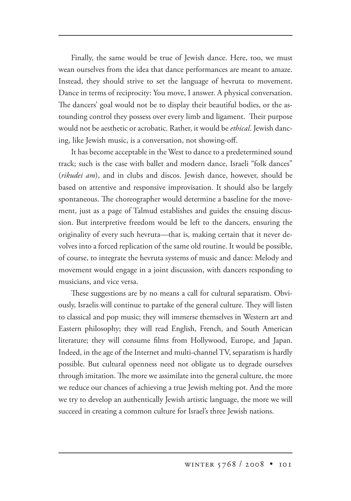Finally, the same would be true of Jewish dance. Here, too, we must wean ourselves from the idea that dance performances are meant to amaze. Instead, they should strive to set the language of hevruta to movement. Dance in terms of reciprocity: You move, I answer. A physical conversation. The dancers' goal would not be to display their beautiful bodies, or the astounding control they possess over every limb and ligament. Their purpose would not be aesthetic or acrobatic. Rather, it would be *ethical*. Jewish dancing, like Jewish music, is a conversation, not showing-off.

It has become acceptable in the West to dance to a predetermined sound track; such is the case with ballet and modern dance, Israeli "folk dances" (*rikudei am*), and in clubs and discos. Jewish dance, however, should be based on attentive and responsive improvisation. It should also be largely spontaneous. The choreographer would determine a baseline for the movement, just as a page of Talmud establishes and guides the ensuing discussion. But interpretive freedom would be left to the dancers, ensuring the originality of every such hevruta—that is, making certain that it never devolves into a forced replication of the same old routine. It would be possible, of course, to integrate the hevruta systems of music and dance: Melody and movement would engage in a joint discussion, with dancers responding to musicians, and vice versa.

These suggestions are by no means a call for cultural separatism. Obviously, Israelis will continue to partake of the general culture. They will listen to classical and pop music; they will immerse themselves in Western art and Eastern philosophy; they will read English, French, and South American literature; they will consume films from Hollywood, Europe, and Japan. Indeed, in the age of the Internet and multi-channel TV, separatism is hardly possible. But cultural openness need not obligate us to degrade ourselves through imitation. The more we assimilate into the general culture, the more we reduce our chances of achieving a true Jewish melting pot. And the more we try to develop an authentically Jewish artistic language, the more we will succeed in creating a common culture for Israel's three Jewish nations.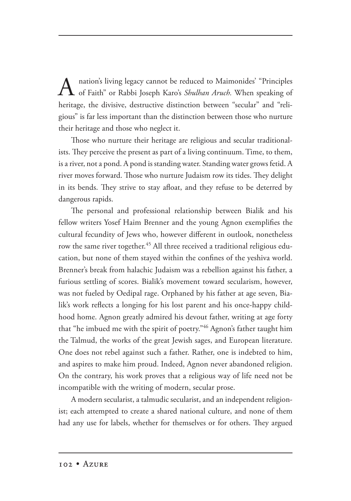nation's living legacy cannot be reduced to Maimonides' "Principles of Faith" or Rabbi Joseph Karo's *Shulhan Aruch.* When speaking of heritage, the divisive, destructive distinction between "secular" and "religious" is far less important than the distinction between those who nurture their heritage and those who neglect it.

Those who nurture their heritage are religious and secular traditionalists. They perceive the present as part of a living continuum. Time, to them, is a river, not a pond. A pond is standing water. Standing water grows fetid. A river moves forward. Those who nurture Judaism row its tides. They delight in its bends. They strive to stay afloat, and they refuse to be deterred by dangerous rapids.

The personal and professional relationship between Bialik and his fellow writers Yosef Haim Brenner and the young Agnon exemplifies the cultural fecundity of Jews who, however different in outlook, nonetheless row the same river together.<sup>45</sup> All three received a traditional religious education, but none of them stayed within the confines of the yeshiva world. Brenner's break from halachic Judaism was a rebellion against his father, a furious settling of scores. Bialik's movement toward secularism, however, was not fueled by Oedipal rage. Orphaned by his father at age seven, Bialik's work reflects a longing for his lost parent and his once-happy childhood home. Agnon greatly admired his devout father, writing at age forty that "he imbued me with the spirit of poetry."46 Agnon's father taught him the Talmud, the works of the great Jewish sages, and European literature. One does not rebel against such a father. Rather, one is indebted to him, and aspires to make him proud. Indeed, Agnon never abandoned religion. On the contrary, his work proves that a religious way of life need not be incompatible with the writing of modern, secular prose.

A modern secularist, a talmudic secularist, and an independent religionist; each attempted to create a shared national culture, and none of them had any use for labels, whether for themselves or for others. They argued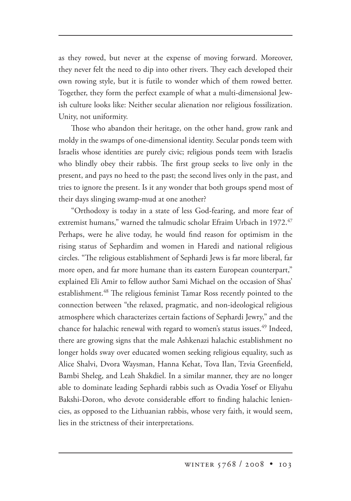as they rowed, but never at the expense of moving forward. Moreover, they never felt the need to dip into other rivers. They each developed their own rowing style, but it is futile to wonder which of them rowed better. Together, they form the perfect example of what a multi-dimensional Jewish culture looks like: Neither secular alienation nor religious fossilization. Unity, not uniformity.

Those who abandon their heritage, on the other hand, grow rank and moldy in the swamps of one-dimensional identity. Secular ponds teem with Israelis whose identities are purely civic; religious ponds teem with Israelis who blindly obey their rabbis. The first group seeks to live only in the present, and pays no heed to the past; the second lives only in the past, and tries to ignore the present. Is it any wonder that both groups spend most of their days slinging swamp-mud at one another?

"Orthodoxy is today in a state of less God-fearing, and more fear of extremist humans," warned the talmudic scholar Efraim Urbach in 1972. $47$ Perhaps, were he alive today, he would find reason for optimism in the rising status of Sephardim and women in Haredi and national religious circles. "The religious establishment of Sephardi Jews is far more liberal, far more open, and far more humane than its eastern European counterpart," explained Eli Amir to fellow author Sami Michael on the occasion of Shas' establishment.<sup>48</sup> The religious feminist Tamar Ross recently pointed to the connection between "the relaxed, pragmatic, and non-ideological religious atmosphere which characterizes certain factions of Sephardi Jewry," and the chance for halachic renewal with regard to women's status issues.<sup>49</sup> Indeed, there are growing signs that the male Ashkenazi halachic establishment no longer holds sway over educated women seeking religious equality, such as Alice Shalvi, Dvora Waysman, Hanna Kehat, Tova Ilan, Tzvia Greenfield, Bambi Sheleg, and Leah Shakdiel. In a similar manner, they are no longer able to dominate leading Sephardi rabbis such as Ovadia Yosef or Eliyahu Bakshi-Doron, who devote considerable effort to finding halachic leniencies, as opposed to the Lithuanian rabbis, whose very faith, it would seem, lies in the strictness of their interpretations.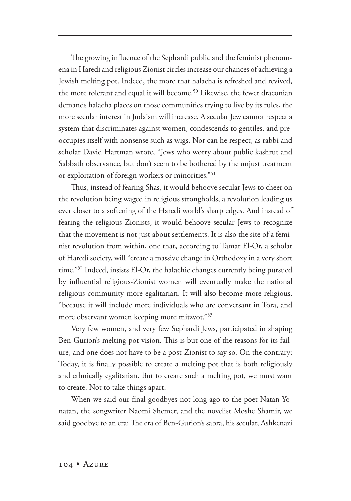The growing influence of the Sephardi public and the feminist phenomena in Haredi and religious Zionist circles increase our chances of achieving a Jewish melting pot. Indeed, the more that halacha is refreshed and revived, the more tolerant and equal it will become.<sup>50</sup> Likewise, the fewer draconian demands halacha places on those communities trying to live by its rules, the more secular interest in Judaism will increase. A secular Jew cannot respect a system that discriminates against women, condescends to gentiles, and preoccupies itself with nonsense such as wigs. Nor can he respect, as rabbi and scholar David Hartman wrote, "Jews who worry about public kashrut and Sabbath observance, but don't seem to be bothered by the unjust treatment or exploitation of foreign workers or minorities."51

Thus, instead of fearing Shas, it would behoove secular Jews to cheer on the revolution being waged in religious strongholds, a revolution leading us ever closer to a softening of the Haredi world's sharp edges. And instead of fearing the religious Zionists, it would behoove secular Jews to recognize that the movement is not just about settlements. It is also the site of a feminist revolution from within, one that, according to Tamar El-Or, a scholar of Haredi society, will "create a massive change in Orthodoxy in a very short time."52 Indeed, insists El-Or, the halachic changes currently being pursued by influential religious-Zionist women will eventually make the national religious community more egalitarian. It will also become more religious, "because it will include more individuals who are conversant in Tora, and more observant women keeping more mitzvot."53

Very few women, and very few Sephardi Jews, participated in shaping Ben-Gurion's melting pot vision. This is but one of the reasons for its failure, and one does not have to be a post-Zionist to say so. On the contrary: Today, it is finally possible to create a melting pot that is both religiously and ethnically egalitarian. But to create such a melting pot, we must want to create. Not to take things apart.

When we said our final goodbyes not long ago to the poet Natan Yonatan, the songwriter Naomi Shemer, and the novelist Moshe Shamir, we said goodbye to an era: The era of Ben-Gurion's sabra, his secular, Ashkenazi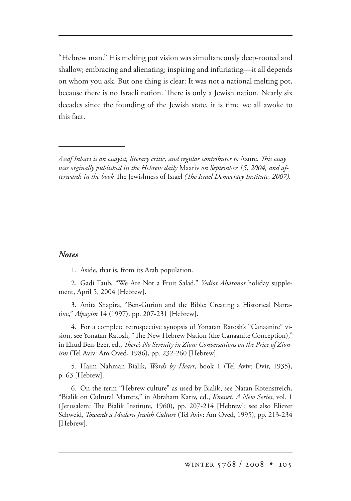"Hebrew man." His melting pot vision was simultaneously deep-rooted and shallow; embracing and alienating; inspiring and infuriating—it all depends on whom you ask. But one thing is clear: It was not a national melting pot, because there is no Israeli nation. There is only a Jewish nation. Nearly six decades since the founding of the Jewish state, it is time we all awoke to this fact.

## *Notes*

1. Aside, that is, from its Arab population.

2. Gadi Taub, "We Are Not a Fruit Salad," *Yediot Aharonot* holiday supplement, April 5, 2004 [Hebrew].

3. Anita Shapira, "Ben-Gurion and the Bible: Creating a Historical Narrative," *Alpayim* 14 (1997), pp. 207-231 [Hebrew].

4. For a complete retrospective synopsis of Yonatan Ratosh's "Canaanite" vision, see Yonatan Ratosh, "The New Hebrew Nation (the Canaanite Conception)," in Ehud Ben-Ezer, ed., *There's No Serenity in Zion: Conversations on the Price of Zionism* (Tel Aviv: Am Oved, 1986), pp. 232-260 [Hebrew].

5. Haim Nahman Bialik, *Words by Heart*, book 1 (Tel Aviv: Dvir, 1935), p. 63 [Hebrew].

6. On the term "Hebrew culture" as used by Bialik, see Natan Rotenstreich, "Bialik on Cultural Matters," in Abraham Kariv, ed., *Knesset: A New Series*, vol. 1 (Jerusalem: The Bialik Institute, 1960), pp. 207-214 [Hebrew]; see also Eliezer Schweid, *Towards a Modern Jewish Culture* (Tel Aviv: Am Oved, 1995), pp. 213-234 [Hebrew].

Assaf Inbari is an essayist, literary critic, and regular contributer to Azure. This essay *was orginally published in the Hebrew daily* Maariv *on September 15, 2004, and afterwards in the book* The Jewishness of Israel *(The Israel Democracy Institute, 2007).*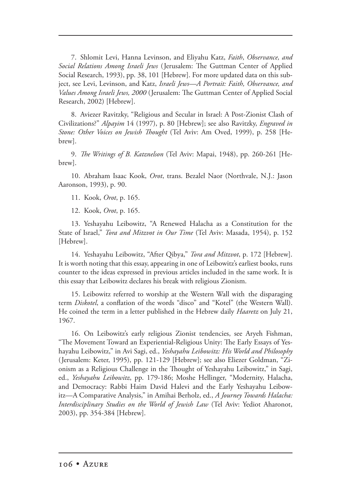7. Shlomit Levi, Hanna Levinson, and Eliyahu Katz, *Faith*, *Observance, and Social Relations Among Israeli Jews* (Jerusalem: The Guttman Center of Applied Social Research, 1993), pp. 38, 101 [Hebrew]. For more updated data on this subject, see Levi, Levinson, and Katz, *Israeli Jews—A Portrait: Faith, Observance, and Values Among Israeli Jews, 2000* (Jerusalem: The Guttman Center of Applied Social Research, 2002) [Hebrew].

8. Aviezer Ravitzky, "Religious and Secular in Israel: A Post-Zionist Clash of Civilizations?" *Alpayim* 14 (1997), p. 80 [Hebrew]; see also Ravitzky, *Engraved in Stone: Other Voices on Jewish Thought* (Tel Aviv: Am Oved, 1999), p. 258 [Hebrew].

9. *The Writings of B. Katznelson* (Tel Aviv: Mapai, 1948), pp. 260-261 [Hebrew].

10. Abraham Isaac Kook, *Orot*, trans. Bezalel Naor (Northvale, N.J.: Jason Aaronson, 1993), p. 90.

11. Kook, *Orot*, p. 165.

12. Kook, *Orot*, p. 165.

13. Yeshayahu Leibowitz, "A Renewed Halacha as a Constitution for the State of Israel," *Tora and Mitzvot in Our Time* (Tel Aviv: Masada, 1954), p. 152 [Hebrew].

14. Yeshayahu Leibowitz, "After Qibya," *Tora and Mitzvot*, p. 172 [Hebrew]. It is worth noting that this essay, appearing in one of Leibowitz's earliest books, runs counter to the ideas expressed in previous articles included in the same work. It is this essay that Leibowitz declares his break with religious Zionism.

15. Leibowitz referred to worship at the Western Wall with the disparaging term *Diskotel*, a conflation of the words "disco" and "Kotel" (the Western Wall). He coined the term in a letter published in the Hebrew daily *Haaretz* on July 21, 1967.

16. On Leibowitz's early religious Zionist tendencies, see Aryeh Fishman, "The Movement Toward an Experiential-Religious Unity: The Early Essays of Yeshayahu Leibowitz," in Avi Sagi, ed., *Yeshayahu Leibowitz: His World and Philosophy* (Jerusalem: Keter, 1995), pp. 121-129 [Hebrew]; see also Eliezer Goldman, "Zionism as a Religious Challenge in the Thought of Yeshayahu Leibowitz," in Sagi, ed., *Yeshayahu Leibowitz*, pp. 179-186; Moshe Hellinger, "Modernity, Halacha, and Democracy: Rabbi Haim David Halevi and the Early Yeshayahu Leibowitz—A Comparative Analysis," in Amihai Berholz, ed., *A Journey Towards Halacha: Interdisciplinary Studies on the World of Jewish Law* (Tel Aviv: Yediot Aharonot, 2003), pp. 354-384 [Hebrew].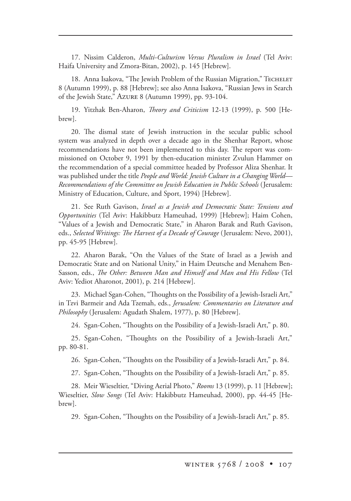17. Nissim Calderon, *Multi-Culturism Versus Pluralism in Israel* (Tel Aviv: Haifa University and Zmora-Bitan, 2002), p. 145 [Hebrew].

18. Anna Isakova, "The Jewish Problem of the Russian Migration," Techeler 8 (Autumn 1999), p. 88 [Hebrew]; see also Anna Isakova, "Russian Jews in Search of the Jewish State," Azure 8 (Autumn 1999), pp. 93-104.

19. Yitzhak Ben-Aharon, *Theory and Criticism* 12-13 (1999), p. 500 [Hebrew].

20. The dismal state of Jewish instruction in the secular public school system was analyzed in depth over a decade ago in the Shenhar Report, whose recommendations have not been implemented to this day. The report was commissioned on October 9, 1991 by then-education minister Zvulun Hammer on the recommendation of a special committee headed by Professor Aliza Shenhar. It was published under the title *People and World: Jewish Culture in a Changing World— Recommendations of the Committee on Jewish Education in Public Schools* (Jerusalem: Ministry of Education, Culture, and Sport, 1994) [Hebrew].

21. See Ruth Gavison, *Israel as a Jewish and Democratic State: Tensions and Opportunities* (Tel Aviv: Hakibbutz Hameuhad, 1999) [Hebrew]; Haim Cohen, "Values of a Jewish and Democratic State," in Aharon Barak and Ruth Gavison, eds., *Selected Writings: The Harvest of a Decade of Courage* (Jerusalem: Nevo, 2001), pp. 45-95 [Hebrew].

22. Aharon Barak, "On the Values of the State of Israel as a Jewish and Democratic State and on National Unity," in Haim Deutsche and Menahem Ben-Sasson, eds., *The Other: Between Man and Himself and Man and His Fellow* (Tel Aviv: Yediot Aharonot, 2001), p. 214 [Hebrew].

23. Michael Sgan-Cohen, "Thoughts on the Possibility of a Jewish-Israeli Art," in Tzvi Barmeir and Ada Tzemah, eds., *Jerusalem: Commentaries on Literature and Philosophy* (Jerusalem: Agudath Shalem, 1977), p. 80 [Hebrew].

24. Sgan-Cohen, "Thoughts on the Possibility of a Jewish-Israeli Art," p. 80.

25. Sgan-Cohen, "Thoughts on the Possibility of a Jewish-Israeli Art," pp. 80-81.

26. Sgan-Cohen, "Thoughts on the Possibility of a Jewish-Israeli Art," p. 84.

27. Sgan-Cohen, "Thoughts on the Possibility of a Jewish-Israeli Art," p. 85.

28. Meir Wieseltier, "Diving Aerial Photo," *Rooms* 13 (1999), p. 11 [Hebrew]; Wieseltier, *Slow Songs* (Tel Aviv: Hakibbutz Hameuhad, 2000), pp. 44-45 [Hebrew].

29. Sgan-Cohen, "Thoughts on the Possibility of a Jewish-Israeli Art," p. 85.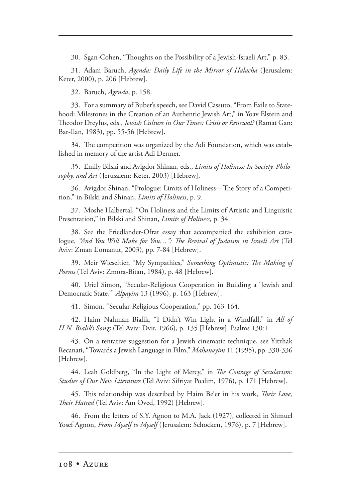30. Sgan-Cohen, "Thoughts on the Possibility of a Jewish-Israeli Art," p. 83.

31. Adam Baruch, *Agenda: Daily Life in the Mirror of Halacha* (Jerusalem: Keter, 2000), p. 206 [Hebrew].

32. Baruch, *Agenda*, p. 158.

33. For a summary of Buber's speech, see David Cassuto, "From Exile to Statehood: Milestones in the Creation of an Authentic Jewish Art," in Yoav Elstein and eodor Dreyfus, eds., *Jewish Culture in Our Times: Crisis or Renewal?* (Ramat Gan: Bar-Ilan, 1983), pp. 55-56 [Hebrew].

34. The competition was organized by the Adi Foundation, which was established in memory of the artist Adi Dermer.

35. Emily Bilski and Avigdor Shinan, eds., *Limits of Holiness: In Society, Philosophy, and Art* (Jerusalem: Keter, 2003) [Hebrew].

36. Avigdor Shinan, "Prologue: Limits of Holiness—The Story of a Competition," in Bilski and Shinan, *Limits of Holiness*, p. 9.

37. Moshe Halbertal, "On Holiness and the Limits of Artistic and Linguistic Presentation," in Bilski and Shinan, *Limits of Holiness*, p. 34.

38. See the Friedlander-Ofrat essay that accompanied the exhibition catalogue, *"And You Will Make for You...": The Revival of Judaism in Israeli Art* (Tel Aviv: Zman L'omanut, 2003), pp. 7-84 [Hebrew].

39. Meir Wieseltier, "My Sympathies," Something Optimistic: The Making of *Poems* (Tel Aviv: Zmora-Bitan, 1984), p. 48 [Hebrew].

40. Uriel Simon, "Secular-Religious Cooperation in Building a 'Jewish and Democratic State,'" *Alpayim* 13 (1996), p. 163 [Hebrew].

41. Simon, "Secular-Religious Cooperation," pp. 163-164.

42. Haim Nahman Bialik, "I Didn't Win Light in a Windfall," in *All of H.N. Bialik's Songs* (Tel Aviv: Dvir, 1966), p. 135 [Hebrew]. Psalms 130:1.

43. On a tentative suggestion for a Jewish cinematic technique, see Yitzhak Recanati, "Towards a Jewish Language in Film," *Mahanayim* 11 (1995), pp. 330-336 [Hebrew].

44. Leah Goldberg, "In the Light of Mercy," in *The Courage of Secularism: Studies of Our New Literature* (Tel Aviv: Sifriyat Poalim, 1976), p. 171 [Hebrew].

45. This relationship was described by Haim Be'er in his work, *Their Love*, *eir Hatred* (Tel Aviv: Am Oved, 1992) [Hebrew].

46. From the letters of S.Y. Agnon to M.A. Jack (1927), collected in Shmuel Yosef Agnon, *From Myself to Myself* (Jerusalem: Schocken, 1976), p. 7 [Hebrew].